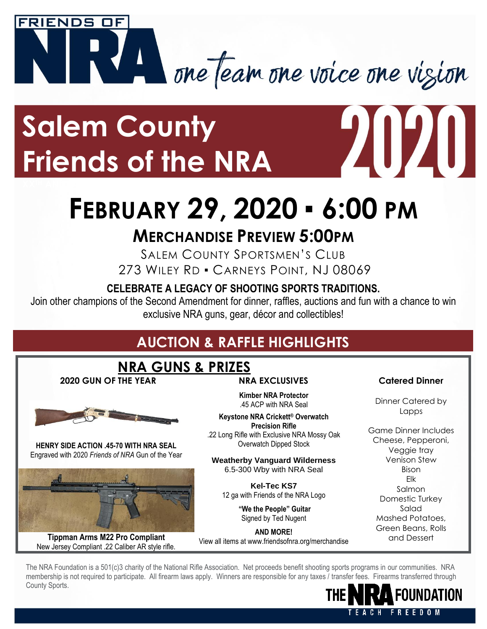

## **Salem County Friends of the NRA**

# **FEBRUARY 29, 2020** ▪ **6:00 PM**

### **MERCHANDISE PREVIEW 5:00PM**

SALEM COUNTY SPORTSMEN'S CLUB 273 WILEY RD . CARNEYS POINT, NJ 08069

#### **CELEBRATE A LEGACY OF SHOOTING SPORTS TRADITIONS.**

Join other champions of the Second Amendment for dinner, raffles, auctions and fun with a chance to win exclusive NRA guns, gear, décor and collectibles!

### **AUCTION & RAFFLE HIGHLIGHTS**

#### **NRA GUNS & PRIZES**

**2020 GUN OF THE YEAR NRA EXCLUSIVES Catered Dinner**



**HENRY SIDE ACTION .45-70 WITH NRA SEAL** Engraved with 2020 *Friends of NRA* Gun of the Year



**Tippman Arms M22 Pro Compliant** New Jersey Compliant .22 Caliber AR style rifle.

**Kimber NRA Protector** .45 ACP with NRA Seal

**Keystone NRA Crickett® Overwatch Precision Rifle** .22 Long Rifle with Exclusive NRA Mossy Oak Overwatch Dipped Stock

**Weatherby Vanguard Wilderness** 6.5-300 Wby with NRA Seal

**Kel-Tec KS7**  12 ga with Friends of the NRA Logo

> **"We the People" Guitar** Signed by Ted Nugent

**AND MORE!** View all items at www.friendsofnra.org/merchandise

2020

Dinner Catered by Lapps

Game Dinner Includes Cheese, Pepperoni, Veggie tray Venison Stew Bison Elk Salmon Domestic Turkey Salad Mashed Potatoes, Green Beans, Rolls and Dessert

The NRA Foundation is a 501(c)3 charity of the National Rifle Association. Net proceeds benefit shooting sports programs in our communities. NRA membership is not required to participate. All firearm laws apply. Winners are responsible for any taxes / transfer fees. Firearms transferred through County Sports.